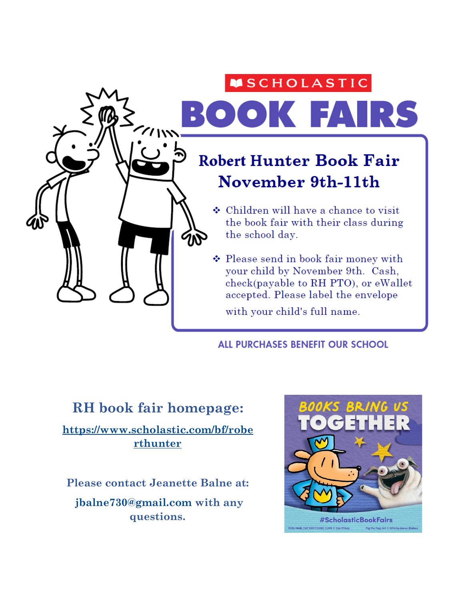### **MSCHOLASTIC**

BOOK FAIRS

## **Robert Hunter Book Fair** November 9th-11th

- $\div$  Children will have a chance to visit the book fair with their class during the school day.
- ❖ Please send in book fair money with your child by November 9th. Cash, check(payable to RH PTO), or eWallet accepted. Please label the envelope with your child's full name.

ALL PURCHASES BENEFIT OUR SCHOOL

#### **RH book fair homepage:**

 $7/111$ 

**[https://www.scholastic.com/bf/robe](https://www.scholastic.com/bf/roberthunter) [rthunter](https://www.scholastic.com/bf/roberthunter)**

**Please contact Jeanette Balne at: [jbalne730@gmail.com](mailto:jbalne730@gmail.com) with any questions.**